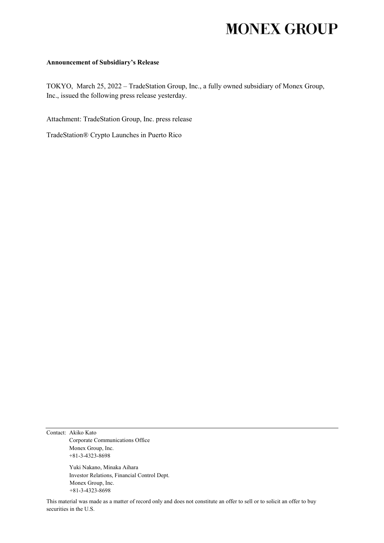# **MONEX GROUP**

#### **Announcement of Subsidiary's Release**

TOKYO, March 25, 2022 – TradeStation Group, Inc., a fully owned subsidiary of Monex Group, Inc., issued the following press release yesterday.

Attachment: TradeStation Group, Inc. press release

TradeStation® Crypto Launches in Puerto Rico

Contact: Akiko Kato Corporate Communications Office Monex Group, Inc. +81-3-4323-8698

> Yuki Nakano, Minaka Aihara Investor Relations, Financial Control Dept. Monex Group, Inc. +81-3-4323-8698

This material was made as a matter of record only and does not constitute an offer to sell or to solicit an offer to buy securities in the U.S.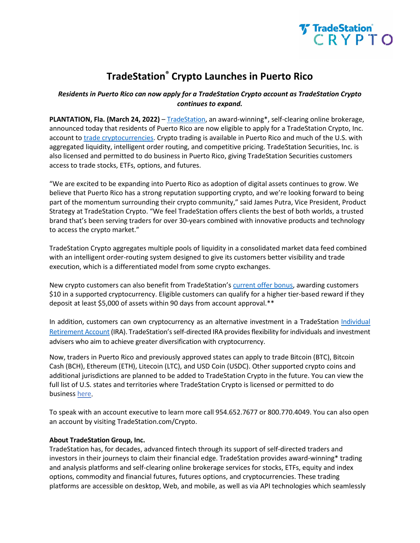

# **TradeStation® Crypto Launches in Puerto Rico**

## *Residents in Puerto Rico can now apply for a TradeStation Crypto account as TradeStation Crypto continues to expand.*

**PLANTATION, Fla. (March 24, 2022)** – [TradeStation,](https://www.tradestation.com/?utm_source=prnewswire&utm_medium=referral&utm_content=crypto+launch+in+puerto+rico) an award-winning\*, self-clearing online brokerage, announced today that residents of Puerto Rico are now eligible to apply for a TradeStation Crypto, Inc. account to [trade cryptocurrencies.](https://www.tradestation.com/crypto/?utm_source=prnewswire&utm_medium=referral&utm_content=crypto+launch+in+puerto+rico) Crypto trading is available in Puerto Rico and much of the U.S. with aggregated liquidity, intelligent order routing, and competitive pricing. TradeStation Securities, Inc. is also licensed and permitted to do business in Puerto Rico, giving TradeStation Securities customers access to trade stocks, ETFs, options, and futures.

"We are excited to be expanding into Puerto Rico as adoption of digital assets continues to grow. We believe that Puerto Rico has a strong reputation supporting crypto, and we're looking forward to being part of the momentum surrounding their crypto community," said James Putra, Vice President, Product Strategy at TradeStation Crypto. "We feel TradeStation offers clients the best of both worlds, a trusted brand that's been serving traders for over 30-years combined with innovative products and technology to access the crypto market."

TradeStation Crypto aggregates multiple pools of liquidity in a consolidated market data feed combined with an intelligent order-routing system designed to give its customers better visibility and trade execution, which is a differentiated model from some crypto exchanges.

New crypto customers can also benefit from TradeStation'[s current offer bonus,](https://www.tradestation.com/promo/try-us/?utm_source=prnewswire&utm_medium=referral&utm_content=crypto+launch+in+puerto+rico) awarding customers \$10 in a supported cryptocurrency. Eligible customers can qualify for a higher tier-based reward if they deposit at least \$5,000 of assets within 90 days from account approval.\*\*

In addition, customers can own cryptocurrency as an alternative investment in a TradeStation Individual [Retirement Account](https://www.tradestation.com/accounts/retirement/?utm_source=prnewswire&utm_medium=referral&utm_content=crypto+launch+in+puerto+rico) (IRA). TradeStation's self-directed IRA provides flexibility for individuals and investment advisers who aim to achieve greater diversification with cryptocurrency.

Now, traders in Puerto Rico and previously approved states can apply to trade Bitcoin (BTC), Bitcoin Cash (BCH), Ethereum (ETH), Litecoin (LTC), and USD Coin (USDC). Other supported crypto coins and additional jurisdictions are planned to be added to TradeStation Crypto in the future. You can view the full list of U.S. states and territories where TradeStation Crypto is licensed or permitted to do business [here.](https://www.tradestation.com/crypto-states/?utm_source=prnewswire&utm_medium=referral&utm_content=crypto+launch+in+puerto+rico)

To speak with an account executive to learn more call 954.652.7677 or 800.770.4049. You can also open an account by visiting TradeStation.com/Crypto.

### **About TradeStation Group, Inc.**

TradeStation has, for decades, advanced fintech through its support of self-directed traders and investors in their journeys to claim their financial edge. TradeStation provides award-winning\* trading and analysis platforms and self-clearing online brokerage services for stocks, ETFs, equity and index options, commodity and financial futures, futures options, and cryptocurrencies. These trading platforms are accessible on desktop, Web, and mobile, as well as via API technologies which seamlessly